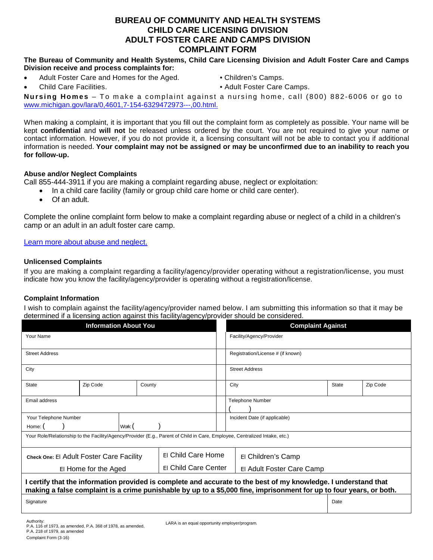# **BUREAU OF COMMUNITY AND HEALTH SYSTEMS CHILD CARE LICENSING DIVISION ADULT FOSTER CARE AND CAMPS DIVISION COMPLAINT FORM**

#### **The Bureau of Community and Health Systems, Child Care Licensing Division and Adult Foster Care and Camps Division receive and process complaints for:**

- Adult Foster Care and Homes for the Aged. Children's Camps.
- 
- 
- Child Care Facilities. Child Care Camps.

**Nursing Homes** – To make a complaint against a nursing home, call (800) 882-6006 or go to [www.michigan.gov/lara/0,4601,7-154-6329472973---,00.html.](http://www.michigan.gov/lara/0,4601,7-154-6329472973---,00.html.)

When making a complaint, it is important that you fill out the complaint form as completely as possible. Your name will be kept **confidential** and **will not** be released unless ordered by the court. You are not required to give your name or contact information. However, if you do not provide it, a licensing consultant will not be able to contact you if additional information is needed. **Your complaint may not be assigned or may be unconfirmed due to an inability to reach you for follow-up.**

## **Abuse and/or Neglect Complaints**

Call 855-444-3911 if you are making a complaint regarding abuse, neglect or exploitation:

- In a child care facility (family or group child care home or child care center).
- Of an adult.

Complete the online complaint form below to make a complaint regarding abuse or neglect of a child in a children's camp or an adult in an adult foster care camp.

Learn more about abuse and neglect.

### **Unlicensed Complaints**

If you are making a complaint regarding a facility/agency/provider operating without a registration/license, you must indicate how you know the facility/agency/provider is operating without a registration/license.

## **Complaint Information**

I wish to complain against the facility/agency/provider named below. I am submitting this information so that it may be determined if a licensing action against this facility/agency/provider should be considered.

| <b>Information About You</b>                                                                                                                                                                                                           |          |  |                    |                      |  | <b>Complaint Against</b>          |                           |              |          |  |
|----------------------------------------------------------------------------------------------------------------------------------------------------------------------------------------------------------------------------------------|----------|--|--------------------|----------------------|--|-----------------------------------|---------------------------|--------------|----------|--|
| Your Name                                                                                                                                                                                                                              |          |  |                    |                      |  | Facility/Agency/Provider          |                           |              |          |  |
| <b>Street Address</b>                                                                                                                                                                                                                  |          |  |                    |                      |  | Registration/License # (if known) |                           |              |          |  |
| City                                                                                                                                                                                                                                   |          |  |                    |                      |  | <b>Street Address</b>             |                           |              |          |  |
| <b>State</b>                                                                                                                                                                                                                           | Zip Code |  | County             |                      |  | City                              |                           | <b>State</b> | Zip Code |  |
| Email address                                                                                                                                                                                                                          |          |  |                    |                      |  | <b>Telephone Number</b>           |                           |              |          |  |
| Your Telephone Number                                                                                                                                                                                                                  |          |  |                    |                      |  | Incident Date (if applicable)     |                           |              |          |  |
| Work: (<br>Home:                                                                                                                                                                                                                       |          |  |                    |                      |  |                                   |                           |              |          |  |
| Your Role/Relationship to the Facility/Agency/Provider (E.g., Parent of Child in Care, Employee, Centralized Intake, etc.)                                                                                                             |          |  |                    |                      |  |                                   |                           |              |          |  |
| Check One: El Adult Foster Care Facility                                                                                                                                                                                               |          |  | El Child Care Home |                      |  | El Children's Camp                |                           |              |          |  |
| El Home for the Aged                                                                                                                                                                                                                   |          |  |                    | El Child Care Center |  |                                   | El Adult Foster Care Camp |              |          |  |
| I certify that the information provided is complete and accurate to the best of my knowledge. I understand that<br>making a false complaint is a crime punishable by up to a \$5,000 fine, imprisonment for up to four years, or both. |          |  |                    |                      |  |                                   |                           |              |          |  |
| Signature                                                                                                                                                                                                                              |          |  |                    |                      |  |                                   |                           | Date         |          |  |
|                                                                                                                                                                                                                                        |          |  |                    |                      |  |                                   |                           |              |          |  |